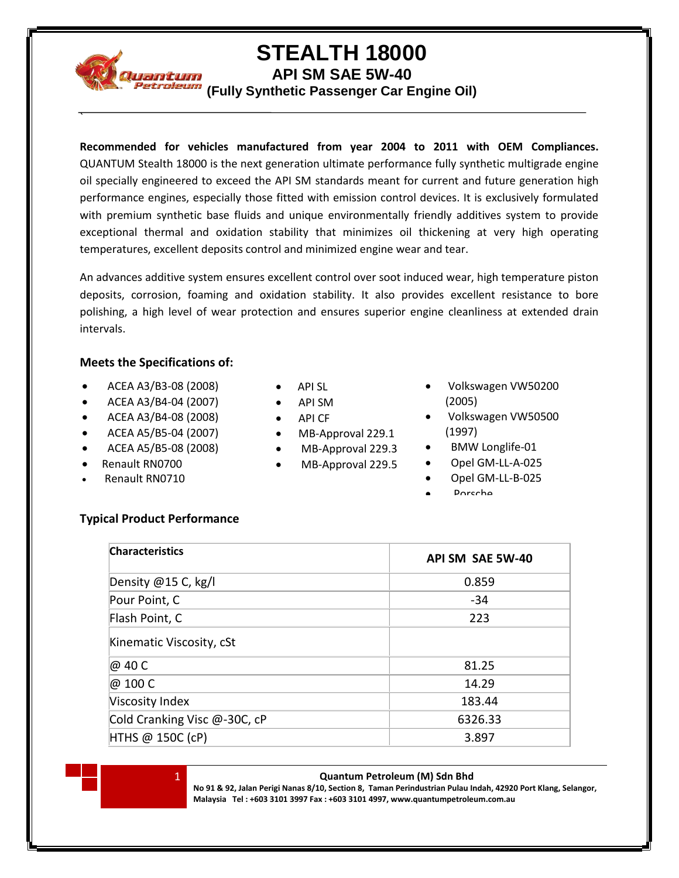

`

## **STEALTH 18000**

**API SM SAE 5W-40**

**(Fully Synthetic Passenger Car Engine Oil)**

**Recommended for vehicles manufactured from year 2004 to 2011 with OEM Compliances.** QUANTUM Stealth 18000 is the next generation ultimate performance fully synthetic multigrade engine oil specially engineered to exceed the API SM standards meant for current and future generation high performance engines, especially those fitted with emission control devices. It is exclusively formulated with premium synthetic base fluids and unique environmentally friendly additives system to provide exceptional thermal and oxidation stability that minimizes oil thickening at very high operating temperatures, excellent deposits control and minimized engine wear and tear.

An advances additive system ensures excellent control over soot induced wear, high temperature piston deposits, corrosion, foaming and oxidation stability. It also provides excellent resistance to bore polishing, a high level of wear protection and ensures superior engine cleanliness at extended drain intervals.

### **Meets the Specifications of:**

- ACEA A3/B3-08 (2008)
- ACEA A3/B4-04 (2007)
- ACEA A3/B4-08 (2008)
- ACEA A5/B5-04 (2007)
- ACEA A5/B5-08 (2008)
- Renault RN0700
- Renault RN0710
- API SL
- API SM
- API CF
- MB-Approval 229.1
- MB-Approval 229.3
- MB-Approval 229.5
- Volkswagen VW50200 (2005)
- Volkswagen VW50500 (1997)
- BMW Longlife-01
- Opel GM-LL-A-025
- Opel GM-LL-B-025
- **Porcche**

## **Typical Product Performance**

| <b>Characteristics</b>       | API SM SAE 5W-40 |
|------------------------------|------------------|
| Density $@15$ C, kg/l        | 0.859            |
| Pour Point, C                | $-34$            |
| Flash Point, C               | 223              |
| Kinematic Viscosity, cSt     |                  |
| @ 40 C                       | 81.25            |
| @ 100 C                      | 14.29            |
| Viscosity Index              | 183.44           |
| Cold Cranking Visc @-30C, cP | 6326.33          |
| HTHS @ 150C (cP)             | 3.897            |

#### 1 **Quantum Petroleum (M) Sdn Bhd**

**No 91 & 92, Jalan Perigi Nanas 8/10, Section 8, Taman Perindustrian Pulau Indah, 42920 Port Klang, Selangor, Malaysia Tel : +603 3101 3997 Fax : +603 3101 4997, www.quantumpetroleum.com.au**